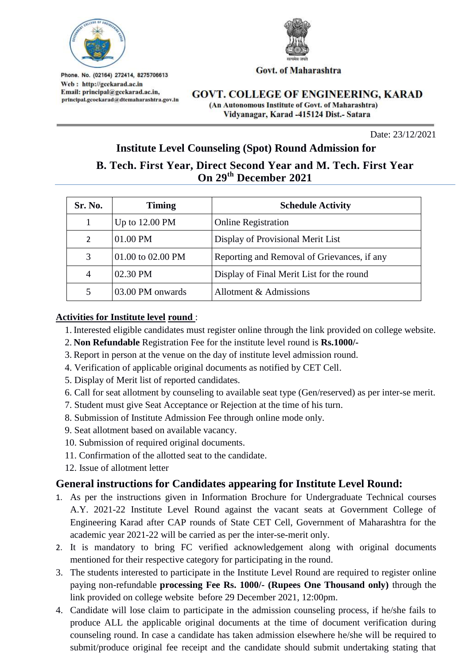

Govt. of Maharashtra

Phone. No. (02164) 272414, 8275706613 Web: http://gcekarad.ac.in Email: principal@gcekarad.ac.in, principal.gcoekarad@dtemaharashtra.gov.in

**GOVT. COLLEGE OF ENGINEERING, KARAD** (An Autonomous Institute of Govt. of Maharashtra) Vidyanagar, Karad -415124 Dist.- Satara

Date: 23/12/2021

# **Institute Level Counseling (Spot) Round Admission for**

# **B. Tech. First Year, Direct Second Year and M. Tech. First Year On 29th December 2021**

| Sr. No. | <b>Timing</b>     | <b>Schedule Activity</b>                    |
|---------|-------------------|---------------------------------------------|
|         | Up to 12.00 PM    | <b>Online Registration</b>                  |
| 2       | 01.00 PM          | Display of Provisional Merit List           |
| 3       | 01.00 to 02.00 PM | Reporting and Removal of Grievances, if any |
| 4       | 02.30 PM          | Display of Final Merit List for the round   |
| 5       | 03.00 PM onwards  | Allotment & Admissions                      |

#### **Activities for Institute level round** :

- 1. Interested eligible candidates must register online through the link provided on college website.
- 2. **Non Refundable** Registration Fee for the institute level round is **Rs.1000/-**
- 3. Report in person at the venue on the day of institute level admission round.
- 4. Verification of applicable original documents as notified by CET Cell.
- 5. Display of Merit list of reported candidates.
- 6. Call for seat allotment by counseling to available seat type (Gen/reserved) as per inter-se merit.
- 7. Student must give Seat Acceptance or Rejection at the time of his turn.
- 8. Submission of Institute Admission Fee through online mode only.
- 9. Seat allotment based on available vacancy.
- 10. Submission of required original documents.
- 11. Confirmation of the allotted seat to the candidate.
- 12. Issue of allotment letter

## **General instructions for Candidates appearing for Institute Level Round:**

- 1. As per the instructions given in Information Brochure for Undergraduate Technical courses A.Y. 2021-22 Institute Level Round against the vacant seats at Government College of Engineering Karad after CAP rounds of State CET Cell, Government of Maharashtra for the academic year 2021-22 will be carried as per the inter-se-merit only.
- 2. It is mandatory to bring FC verified acknowledgement along with original documents mentioned for their respective category for participating in the round.
- 3. The students interested to participate in the Institute Level Round are required to register online paying non-refundable **processing Fee Rs. 1000/- (Rupees One Thousand only)** through the link provided on college website before 29 December 2021, 12:00pm.
- 4. Candidate will lose claim to participate in the admission counseling process, if he/she fails to produce ALL the applicable original documents at the time of document verification during counseling round. In case a candidate has taken admission elsewhere he/she will be required to submit/produce original fee receipt and the candidate should submit undertaking stating that